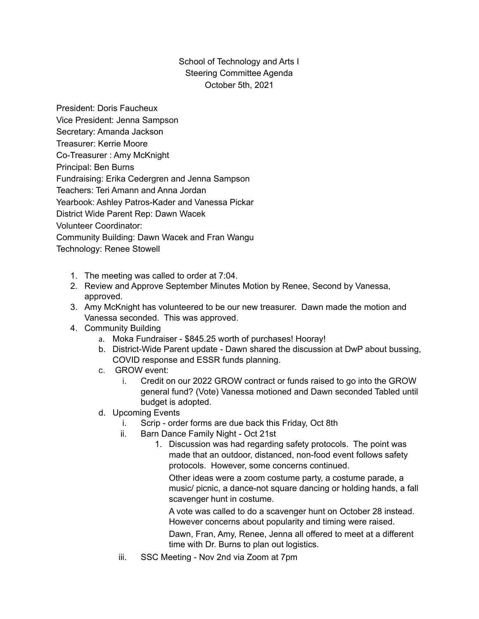## School of Technology and Arts I Steering Committee Agenda October 5th, 2021

President: Doris Faucheux Vice President: Jenna Sampson Secretary: Amanda Jackson Treasurer: Kerrie Moore Co-Treasurer : Amy McKnight Principal: Ben Burns Fundraising: Erika Cedergren and Jenna Sampson Teachers: Teri Amann and Anna Jordan Yearbook: Ashley Patros-Kader and Vanessa Pickar District Wide Parent Rep: Dawn Wacek Volunteer Coordinator: Community Building: Dawn Wacek and Fran Wangu Technology: Renee Stowell

- 1. The meeting was called to order at 7:04.
- 2. Review and Approve September Minutes Motion by Renee, Second by Vanessa, approved.
- 3. Amy McKnight has volunteered to be our new treasurer. Dawn made the motion and Vanessa seconded. This was approved.
- 4. Community Building
	- a. Moka Fundraiser \$845.25 worth of purchases! Hooray!
	- b. District-Wide Parent update Dawn shared the discussion at DwP about bussing, COVID response and ESSR funds planning.
	- c. GROW event:
		- i. Credit on our 2022 GROW contract or funds raised to go into the GROW general fund? (Vote) Vanessa motioned and Dawn seconded Tabled until budget is adopted.
	- d. Upcoming Events
		- i. Scrip order forms are due back this Friday, Oct 8th
		- ii. Barn Dance Family Night Oct 21st
			- 1. Discussion was had regarding safety protocols. The point was made that an outdoor, distanced, non-food event follows safety protocols. However, some concerns continued.

Other ideas were a zoom costume party, a costume parade, a music/ picnic, a dance-not square dancing or holding hands, a fall scavenger hunt in costume.

A vote was called to do a scavenger hunt on October 28 instead. However concerns about popularity and timing were raised.

Dawn, Fran, Amy, Renee, Jenna all offered to meet at a different time with Dr. Burns to plan out logistics.

iii. SSC Meeting - Nov 2nd via Zoom at 7pm